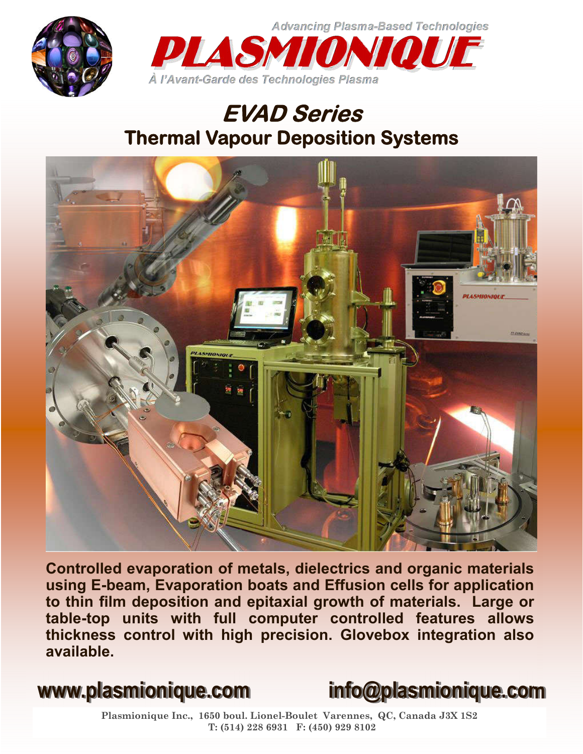



## **EVAD Series Thermal Vapour Deposition Systems**



**Controlled evaporation of metals, dielectrics and organic materials using E-beam, Evaporation boats and Effusion cells for application to thin film deposition and epitaxial growth of materials. Large or table-top units with full computer controlled features allows thickness control with high precision. Glovebox integration also available.**



**Plasmionique Inc., 1650 boul. Lionel-Boulet Varennes, QC, Canada J3X 1S2 T: (514) 228 6931 F: (450) 929 8102**